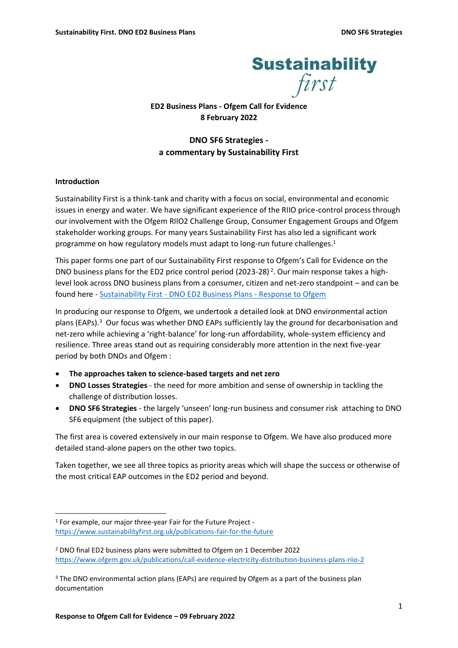

**ED2 Business Plans - Ofgem Call for Evidence 8 February 2022**

# **DNO SF6 Strategies a commentary by Sustainability First**

# **Introduction**

Sustainability First is a think-tank and charity with a focus on social, environmental and economic issues in energy and water. We have significant experience of the RIIO price-control process through our involvement with the Ofgem RIIO2 Challenge Group, Consumer Engagement Groups and Ofgem stakeholder working groups. For many years Sustainability First has also led a significant work programme on how regulatory models must adapt to long-run future challenges. 1

This paper forms one part of our Sustainability First response to Ofgem's Call for Evidence on the DNO business plans for the ED2 price control period (2023-28)<sup>2</sup>. Our main response takes a highlevel look across DNO business plans from a consumer, citizen and net-zero standpoint – and can be found here - Sustainability First - [DNO ED2 Business Plans -](https://www.sustainabilityfirst.org.uk/images/ED2_Business_Plans_Ofgem_call_for_evidence_final.pdf) Response to Ofgem

In producing our response to Ofgem, we undertook a detailed look at DNO environmental action plans (EAPs). <sup>3</sup> Our focus was whether DNO EAPs sufficiently lay the ground for decarbonisation and net-zero while achieving a 'right-balance' for long-run affordability, whole-system efficiency and resilience. Three areas stand out as requiring considerably more attention in the next five-year period by both DNOs and Ofgem :

- **The approaches taken to science-based targets and net zero**
- **DNO Losses Strategies** the need for more ambition and sense of ownership in tackling the challenge of distribution losses.
- **DNO SF6 Strategies** the largely 'unseen' long-run business and consumer risk attaching to DNO SF6 equipment (the subject of this paper).

The first area is covered extensively in our main response to Ofgem. We have also produced more detailed stand-alone papers on the other two topics.

Taken together, we see all three topics as priority areas which will shape the success or otherwise of the most critical EAP outcomes in the ED2 period and beyond.

<sup>1</sup> For example, our major three-year Fair for the Future Project <https://www.sustainabilityfirst.org.uk/publications-fair-for-the-future>

<sup>2</sup> DNO final ED2 business plans were submitted to Ofgem on 1 December 2022 <https://www.ofgem.gov.uk/publications/call-evidence-electricity-distribution-business-plans-riio-2>

<sup>&</sup>lt;sup>3</sup> The DNO environmental action plans (EAPs) are required by Ofgem as a part of the business plan documentation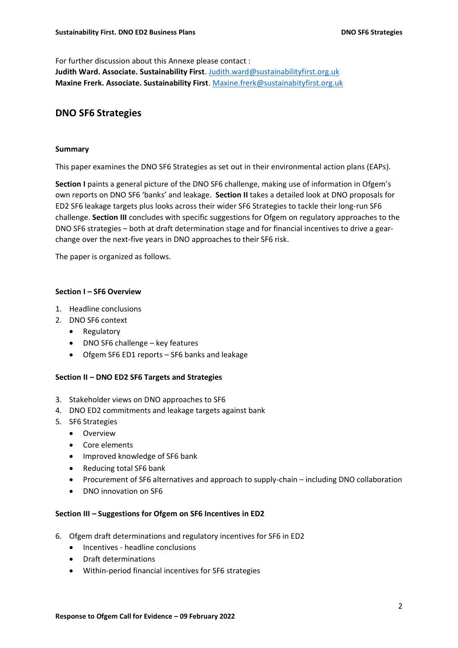For further discussion about this Annexe please contact :

**Judith Ward. Associate. Sustainability First**[. Judith.ward@sustainabilityfirst.org.uk](mailto:Judith.ward@sustainabilityfirst.org.uk) **Maxine Frerk. Associate. Sustainability First**. [Maxine.frerk@sustainabityfirst.org.uk](mailto:Maxine.frerk@sustainabityfirst.org.uk)

# **DNO SF6 Strategies**

### **Summary**

This paper examines the DNO SF6 Strategies as set out in their environmental action plans (EAPs).

**Section I** paints a general picture of the DNO SF6 challenge, making use of information in Ofgem's own reports on DNO SF6 'banks' and leakage. **Section II** takes a detailed look at DNO proposals for ED2 SF6 leakage targets plus looks across their wider SF6 Strategies to tackle their long-run SF6 challenge. **Section III** concludes with specific suggestions for Ofgem on regulatory approaches to the DNO SF6 strategies – both at draft determination stage and for financial incentives to drive a gearchange over the next-five years in DNO approaches to their SF6 risk.

The paper is organized as follows.

### **Section I – SF6 Overview**

- 1. Headline conclusions
- 2. DNO SF6 context
	- Regulatory
	- DNO SF6 challenge key features
	- Ofgem SF6 ED1 reports SF6 banks and leakage

#### **Section II – DNO ED2 SF6 Targets and Strategies**

- 3. Stakeholder views on DNO approaches to SF6
- 4. DNO ED2 commitments and leakage targets against bank
- 5. SF6 Strategies
	- Overview
	- Core elements
	- Improved knowledge of SF6 bank
	- Reducing total SF6 bank
	- Procurement of SF6 alternatives and approach to supply-chain including DNO collaboration
	- DNO innovation on SF6

#### **Section III – Suggestions for Ofgem on SF6 Incentives in ED2**

- 6. Ofgem draft determinations and regulatory incentives for SF6 in ED2
	- Incentives headline conclusions
	- Draft determinations
	- Within-period financial incentives for SF6 strategies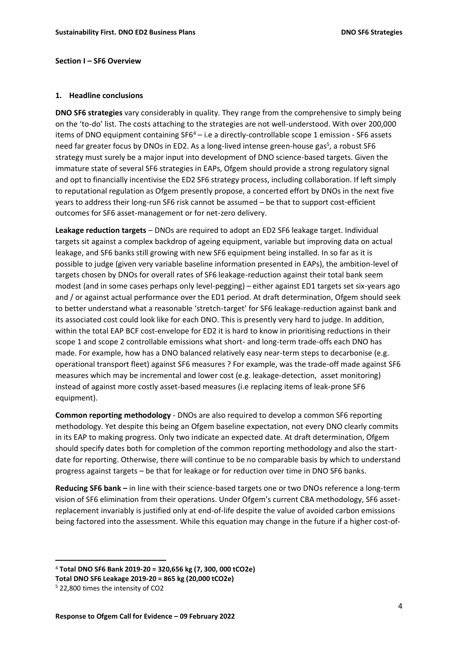#### **Section I – SF6 Overview**

#### **1. Headline conclusions**

**DNO SF6 strategies** vary considerably in quality. They range from the comprehensive to simply being on the 'to-do' list. The costs attaching to the strategies are not well-understood. With over 200,000 items of DNO equipment containing  $SF6<sup>4</sup> - i.e.$  a directly-controllable scope 1 emission - SF6 assets need far greater focus by DNOs in ED2. As a long-lived intense green-house gas<sup>5</sup>, a robust SF6 strategy must surely be a major input into development of DNO science-based targets. Given the immature state of several SF6 strategies in EAPs, Ofgem should provide a strong regulatory signal and opt to financially incentivise the ED2 SF6 strategy process, including collaboration. If left simply to reputational regulation as Ofgem presently propose, a concerted effort by DNOs in the next five years to address their long-run SF6 risk cannot be assumed – be that to support cost-efficient outcomes for SF6 asset-management or for net-zero delivery.

**Leakage reduction targets** – DNOs are required to adopt an ED2 SF6 leakage target. Individual targets sit against a complex backdrop of ageing equipment, variable but improving data on actual leakage, and SF6 banks still growing with new SF6 equipment being installed. In so far as it is possible to judge (given very variable baseline information presented in EAPs), the ambition-level of targets chosen by DNOs for overall rates of SF6 leakage-reduction against their total bank seem modest (and in some cases perhaps only level-pegging) – either against ED1 targets set six-years ago and / or against actual performance over the ED1 period. At draft determination, Ofgem should seek to better understand what a reasonable 'stretch-target' for SF6 leakage-reduction against bank and its associated cost could look like for each DNO. This is presently very hard to judge. In addition, within the total EAP BCF cost-envelope for ED2 it is hard to know in prioritising reductions in their scope 1 and scope 2 controllable emissions what short- and long-term trade-offs each DNO has made. For example, how has a DNO balanced relatively easy near-term steps to decarbonise (e.g. operational transport fleet) against SF6 measures ? For example, was the trade-off made against SF6 measures which may be incremental and lower cost (e.g. leakage-detection, asset monitoring) instead of against more costly asset-based measures (i.e replacing items of leak-prone SF6 equipment).

**Common reporting methodology** - DNOs are also required to develop a common SF6 reporting methodology. Yet despite this being an Ofgem baseline expectation, not every DNO clearly commits in its EAP to making progress. Only two indicate an expected date. At draft determination, Ofgem should specify dates both for completion of the common reporting methodology and also the startdate for reporting. Otherwise, there will continue to be no comparable basis by which to understand progress against targets – be that for leakage or for reduction over time in DNO SF6 banks.

**Reducing SF6 bank –** in line with their science-based targets one or two DNOs reference a long-term vision of SF6 elimination from their operations. Under Ofgem's current CBA methodology, SF6 assetreplacement invariably is justified only at end-of-life despite the value of avoided carbon emissions being factored into the assessment. While this equation may change in the future if a higher cost-of-

<sup>4</sup> **Total DNO SF6 Bank 2019-20 = 320,656 kg (7, 300, 000 tCO2e)**

**Total DNO SF6 Leakage 2019-20 = 865 kg (20,000 tCO2e)**

<sup>5</sup> 22,800 times the intensity of CO2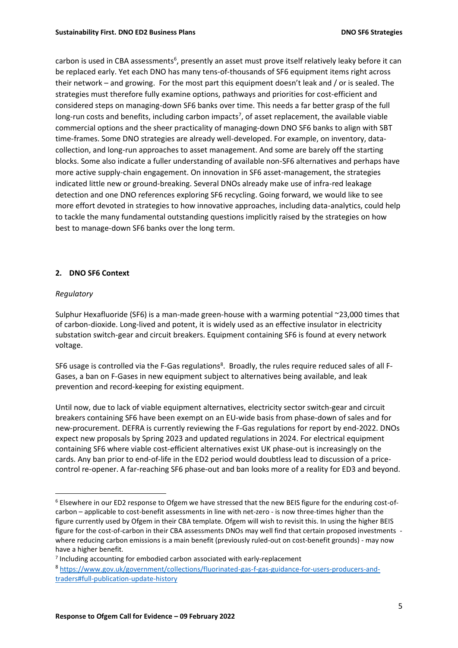carbon is used in CBA assessments<sup>6</sup>, presently an asset must prove itself relatively leaky before it can be replaced early. Yet each DNO has many tens-of-thousands of SF6 equipment items right across their network – and growing. For the most part this equipment doesn't leak and / or is sealed. The strategies must therefore fully examine options, pathways and priorities for cost-efficient and considered steps on managing-down SF6 banks over time. This needs a far better grasp of the full long-run costs and benefits, including carbon impacts<sup>7</sup>, of asset replacement, the available viable commercial options and the sheer practicality of managing-down DNO SF6 banks to align with SBT time-frames. Some DNO strategies are already well-developed. For example, on inventory, datacollection, and long-run approaches to asset management. And some are barely off the starting blocks. Some also indicate a fuller understanding of available non-SF6 alternatives and perhaps have more active supply-chain engagement. On innovation in SF6 asset-management, the strategies indicated little new or ground-breaking. Several DNOs already make use of infra-red leakage detection and one DNO references exploring SF6 recycling. Going forward, we would like to see more effort devoted in strategies to how innovative approaches, including data-analytics, could help to tackle the many fundamental outstanding questions implicitly raised by the strategies on how best to manage-down SF6 banks over the long term.

# **2. DNO SF6 Context**

### *Regulatory*

Sulphur Hexafluoride (SF6) is a man-made green-house with a warming potential ~23,000 times that of carbon-dioxide. Long-lived and potent, it is widely used as an effective insulator in electricity substation switch-gear and circuit breakers. Equipment containing SF6 is found at every network voltage.

SF6 usage is controlled via the F-Gas regulations<sup>8</sup>. Broadly, the rules require reduced sales of all F-Gases, a ban on F-Gases in new equipment subject to alternatives being available, and leak prevention and record-keeping for existing equipment.

Until now, due to lack of viable equipment alternatives, electricity sector switch-gear and circuit breakers containing SF6 have been exempt on an EU-wide basis from phase-down of sales and for new-procurement. DEFRA is currently reviewing the F-Gas regulations for report by end-2022. DNOs expect new proposals by Spring 2023 and updated regulations in 2024. For electrical equipment containing SF6 where viable cost-efficient alternatives exist UK phase-out is increasingly on the cards. Any ban prior to end-of-life in the ED2 period would doubtless lead to discussion of a pricecontrol re-opener. A far-reaching SF6 phase-out and ban looks more of a reality for ED3 and beyond.

<sup>6</sup> Elsewhere in our ED2 response to Ofgem we have stressed that the new BEIS figure for the enduring cost-ofcarbon – applicable to cost-benefit assessments in line with net-zero - is now three-times higher than the figure currently used by Ofgem in their CBA template. Ofgem will wish to revisit this. In using the higher BEIS figure for the cost-of-carbon in their CBA assessments DNOs may well find that certain proposed investments where reducing carbon emissions is a main benefit (previously ruled-out on cost-benefit grounds) - may now have a higher benefit.

<sup>7</sup> Including accounting for embodied carbon associated with early-replacement

<sup>8</sup> [https://www.gov.uk/government/collections/fluorinated-gas-f-gas-guidance-for-users-producers-and](https://www.gov.uk/government/collections/fluorinated-gas-f-gas-guidance-for-users-producers-and-traders#full-publication-update-history)[traders#full-publication-update-history](https://www.gov.uk/government/collections/fluorinated-gas-f-gas-guidance-for-users-producers-and-traders#full-publication-update-history)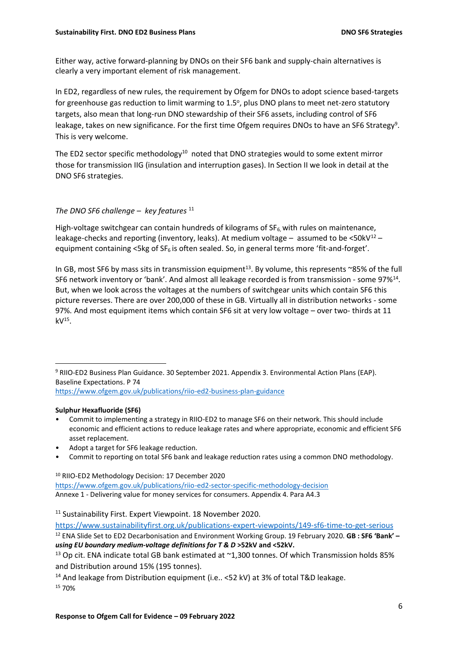Either way, active forward-planning by DNOs on their SF6 bank and supply-chain alternatives is clearly a very important element of risk management.

In ED2, regardless of new rules, the requirement by Ofgem for DNOs to adopt science based-targets for greenhouse gas reduction to limit warming to 1.5°, plus DNO plans to meet net-zero statutory targets, also mean that long-run DNO stewardship of their SF6 assets, including control of SF6 leakage, takes on new significance. For the first time Ofgem requires DNOs to have an SF6 Strategy<sup>9</sup>. This is very welcome.

The ED2 sector specific methodology<sup>10</sup> noted that DNO strategies would to some extent mirror those for transmission IIG (insulation and interruption gases). In Section II we look in detail at the DNO SF6 strategies.

# *The DNO SF6 challenge – key features* <sup>11</sup>

High-voltage switchgear can contain hundreds of kilograms of  $SF_6$ , with rules on maintenance, leakage-checks and reporting (inventory, leaks). At medium voltage - assumed to be <50kV<sup>12</sup> equipment containing  $\lt$ 5kg of SF<sub>6</sub> is often sealed. So, in general terms more 'fit-and-forget'.

In GB, most SF6 by mass sits in transmission equipment<sup>13</sup>. By volume, this represents ~85% of the full SF6 network inventory or 'bank'. And almost all leakage recorded is from transmission - some 97%<sup>14</sup>. But, when we look across the voltages at the numbers of switchgear units which contain SF6 this picture reverses. There are over 200,000 of these in GB. Virtually all in distribution networks - some 97%. And most equipment items which contain SF6 sit at very low voltage – over two- thirds at 11  $kV^{15}$ .

9 RIIO-ED2 Business Plan Guidance. 30 September 2021. Appendix 3. Environmental Action Plans (EAP). Baseline Expectations. P 74 <https://www.ofgem.gov.uk/publications/riio-ed2-business-plan-guidance>

# **Sulphur Hexafluoride (SF6)**

- Commit to implementing a strategy in RIIO-ED2 to manage SF6 on their network. This should include economic and efficient actions to reduce leakage rates and where appropriate, economic and efficient SF6 asset replacement.
- Adopt a target for SF6 leakage reduction.
- Commit to reporting on total SF6 bank and leakage reduction rates using a common DNO methodology.

<sup>10</sup> RIIO-ED2 Methodology Decision: 17 December 2020 <https://www.ofgem.gov.uk/publications/riio-ed2-sector-specific-methodology-decision> Annexe 1 - Delivering value for money services for consumers. Appendix 4. Para A4.3

<https://www.sustainabilityfirst.org.uk/publications-expert-viewpoints/149-sf6-time-to-get-serious>

<sup>14</sup> And leakage from Distribution equipment (i.e.. <52 kV) at 3% of total T&D leakage. <sup>15</sup> 70%

<sup>11</sup> Sustainability First. Expert Viewpoint. 18 November 2020.

<sup>12</sup> ENA Slide Set to ED2 Decarbonisation and Environment Working Group. 19 February 2020. **GB : SF6 'Bank' –** *using EU boundary medium-voltage definitions for T & D* **>52kV and <52kV.**

<sup>&</sup>lt;sup>13</sup> Op cit. ENA indicate total GB bank estimated at  $\sim$ 1,300 tonnes. Of which Transmission holds 85% and Distribution around 15% (195 tonnes).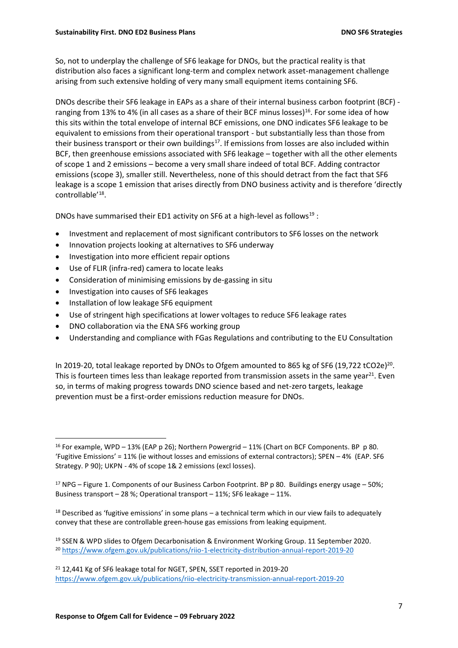So, not to underplay the challenge of SF6 leakage for DNOs, but the practical reality is that distribution also faces a significant long-term and complex network asset-management challenge arising from such extensive holding of very many small equipment items containing SF6.

DNOs describe their SF6 leakage in EAPs as a share of their internal business carbon footprint (BCF) ranging from 13% to 4% (in all cases as a share of their BCF minus losses)<sup>16</sup>. For some idea of how this sits within the total envelope of internal BCF emissions, one DNO indicates SF6 leakage to be equivalent to emissions from their operational transport - but substantially less than those from their business transport or their own buildings<sup>17</sup>. If emissions from losses are also included within BCF, then greenhouse emissions associated with SF6 leakage – together with all the other elements of scope 1 and 2 emissions – become a very small share indeed of total BCF. Adding contractor emissions (scope 3), smaller still. Nevertheless, none of this should detract from the fact that SF6 leakage is a scope 1 emission that arises directly from DNO business activity and is therefore 'directly controllable'<sup>18</sup> .

DNOs have summarised their ED1 activity on SF6 at a high-level as follows<sup>19</sup>:

- Investment and replacement of most significant contributors to SF6 losses on the network
- Innovation projects looking at alternatives to SF6 underway
- Investigation into more efficient repair options
- Use of FLIR (infra-red) camera to locate leaks
- Consideration of minimising emissions by de-gassing in situ
- Investigation into causes of SF6 leakages
- Installation of low leakage SF6 equipment
- Use of stringent high specifications at lower voltages to reduce SF6 leakage rates
- DNO collaboration via the ENA SF6 working group
- Understanding and compliance with FGas Regulations and contributing to the EU Consultation

In 2019-20, total leakage reported by DNOs to Ofgem amounted to 865 kg of SF6 (19,722 tCO2e)<sup>20</sup>. This is fourteen times less than leakage reported from transmission assets in the same year<sup>21</sup>. Even so, in terms of making progress towards DNO science based and net-zero targets, leakage prevention must be a first-order emissions reduction measure for DNOs.

<sup>&</sup>lt;sup>16</sup> For example, WPD – 13% (EAP p 26); Northern Powergrid – 11% (Chart on BCF Components. BP p 80. 'Fugitive Emissions' = 11% (ie without losses and emissions of external contractors); SPEN – 4% (EAP. SF6 Strategy. P 90); UKPN - 4% of scope 1& 2 emissions (excl losses).

<sup>&</sup>lt;sup>17</sup> NPG – Figure 1. Components of our Business Carbon Footprint. BP p 80. Buildings energy usage – 50%; Business transport – 28 %; Operational transport – 11%; SF6 leakage – 11%.

 $18$  Described as 'fugitive emissions' in some plans – a technical term which in our view fails to adequately convey that these are controllable green-house gas emissions from leaking equipment.

<sup>19</sup> SSEN & WPD slides to Ofgem Decarbonisation & Environment Working Group. 11 September 2020. <sup>20</sup> <https://www.ofgem.gov.uk/publications/riio-1-electricity-distribution-annual-report-2019-20>

<sup>&</sup>lt;sup>21</sup> 12,441 Kg of SF6 leakage total for NGET, SPEN, SSET reported in 2019-20 <https://www.ofgem.gov.uk/publications/riio-electricity-transmission-annual-report-2019-20>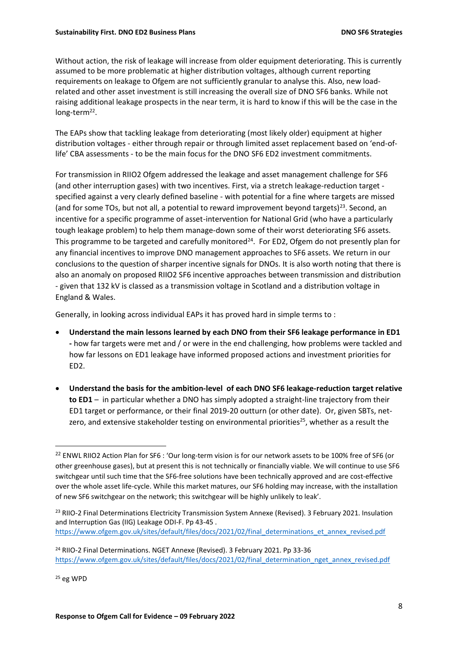Without action, the risk of leakage will increase from older equipment deteriorating. This is currently assumed to be more problematic at higher distribution voltages, although current reporting requirements on leakage to Ofgem are not sufficiently granular to analyse this. Also, new loadrelated and other asset investment is still increasing the overall size of DNO SF6 banks. While not raising additional leakage prospects in the near term, it is hard to know if this will be the case in the long-term<sup>22</sup>.

The EAPs show that tackling leakage from deteriorating (most likely older) equipment at higher distribution voltages - either through repair or through limited asset replacement based on 'end-oflife' CBA assessments - to be the main focus for the DNO SF6 ED2 investment commitments.

For transmission in RIIO2 Ofgem addressed the leakage and asset management challenge for SF6 (and other interruption gases) with two incentives. First, via a stretch leakage-reduction target specified against a very clearly defined baseline - with potential for a fine where targets are missed (and for some TOs, but not all, a potential to reward improvement beyond targets)<sup>23</sup>. Second, an incentive for a specific programme of asset-intervention for National Grid (who have a particularly tough leakage problem) to help them manage-down some of their worst deteriorating SF6 assets. This programme to be targeted and carefully monitored<sup>24</sup>. For ED2, Ofgem do not presently plan for any financial incentives to improve DNO management approaches to SF6 assets. We return in our conclusions to the question of sharper incentive signals for DNOs. It is also worth noting that there is also an anomaly on proposed RIIO2 SF6 incentive approaches between transmission and distribution - given that 132 kV is classed as a transmission voltage in Scotland and a distribution voltage in England & Wales.

Generally, in looking across individual EAPs it has proved hard in simple terms to :

- **Understand the main lessons learned by each DNO from their SF6 leakage performance in ED1 -** how far targets were met and / or were in the end challenging, how problems were tackled and how far lessons on ED1 leakage have informed proposed actions and investment priorities for ED2.
- **Understand the basis for the ambition-level of each DNO SF6 leakage-reduction target relative to ED1** – in particular whether a DNO has simply adopted a straight-line trajectory from their ED1 target or performance, or their final 2019-20 outturn (or other date). Or, given SBTs, netzero, and extensive stakeholder testing on environmental priorities<sup>25</sup>, whether as a result the

<sup>25</sup> eg WPD

<sup>&</sup>lt;sup>22</sup> ENWL RIIO2 Action Plan for SF6 : 'Our long-term vision is for our network assets to be 100% free of SF6 (or other greenhouse gases), but at present this is not technically or financially viable. We will continue to use SF6 switchgear until such time that the SF6-free solutions have been technically approved and are cost-effective over the whole asset life-cycle. While this market matures, our SF6 holding may increase, with the installation of new SF6 switchgear on the network; this switchgear will be highly unlikely to leak'.

<sup>&</sup>lt;sup>23</sup> RIIO-2 Final Determinations Electricity Transmission System Annexe (Revised). 3 February 2021. Insulation and Interruption Gas (IIG) Leakage ODI-F. Pp 43-45 . [https://www.ofgem.gov.uk/sites/default/files/docs/2021/02/final\\_determinations\\_et\\_annex\\_revised.pdf](https://www.ofgem.gov.uk/sites/default/files/docs/2021/02/final_determinations_et_annex_revised.pdf)

<sup>&</sup>lt;sup>24</sup> RIIO-2 Final Determinations. NGET Annexe (Revised). 3 February 2021. Pp 33-36 [https://www.ofgem.gov.uk/sites/default/files/docs/2021/02/final\\_determination\\_nget\\_annex\\_revised.pdf](https://www.ofgem.gov.uk/sites/default/files/docs/2021/02/final_determination_nget_annex_revised.pdf)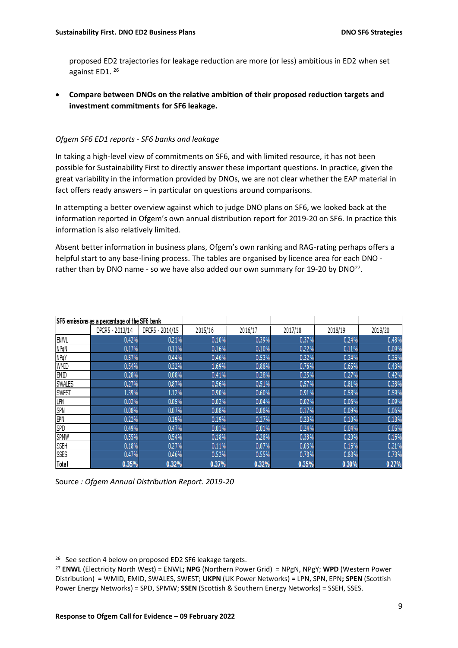proposed ED2 trajectories for leakage reduction are more (or less) ambitious in ED2 when set against ED1. 26

• **Compare between DNOs on the relative ambition of their proposed reduction targets and investment commitments for SF6 leakage.** 

#### *Ofgem SF6 ED1 reports - SF6 banks and leakage*

In taking a high-level view of commitments on SF6, and with limited resource, it has not been possible for Sustainability First to directly answer these important questions. In practice, given the great variability in the information provided by DNOs, we are not clear whether the EAP material in fact offers ready answers – in particular on questions around comparisons.

In attempting a better overview against which to judge DNO plans on SF6, we looked back at the information reported in Ofgem's own annual distribution report for 2019-20 on SF6. In practice this information is also relatively limited.

Absent better information in business plans, Ofgem's own ranking and RAG-rating perhaps offers a helpful start to any base-lining process. The tables are organised by licence area for each DNO rather than by DNO name - so we have also added our own summary for 19-20 by DNO<sup>27</sup>.

| SF6 emissions as a percentage of the SF6 bank |                 |                 |         |         |         |         |         |
|-----------------------------------------------|-----------------|-----------------|---------|---------|---------|---------|---------|
|                                               | DPCR5 - 2013/14 | DPCR5 - 2014/15 | 2015/16 | 2016/17 | 2017/18 | 2018/19 | 2019/20 |
| <b>ENWL</b>                                   | 0.42%           | 0.21%           | 0.10%   | 0.39%   | 0.37%   | 0.24%   | 0.48%   |
| NPqN                                          | 0.17%           | 0.11%           | 0.16%   | 0.10%   | 0.22%   | 0.11%   | 0.09%   |
| NPqY                                          | 0.57%           | 0.44%           | 0.46%   | 0.53%   | 0.32%   | 0.24%   | 0.25%   |
| WMID                                          | 0.54%           | 0.32%           | 1.69%   | 0.88%   | 0.76%   | 0.65%   | 0.43%   |
| <b>EMD</b>                                    | 0.28%           | 0.08%           | 0.41%   | 0.28%   | 0.25%   | 0.27%   | 0.42%   |
| <b>SWALES</b>                                 | 0.27%           | 0.87%           | 0.56%   | 0.51%   | 0.57%   | 0.81%   | 0.38%   |
| <b>SWEST</b>                                  | 1.39%           | 1.12%           | 0.90%   | 0.60%   | 0.91%   | 0.58%   | 0.59%   |
| LPN                                           | 0.02%           | 0.05%           | 0.02%   | 0.04%   | 0.02%   | 0.06%   | 0.09%   |
| SPN                                           | 0.08%           | 0.07%           | 0.08%   | 0.08%   | 0.17%   | 0.09%   | 0.06%   |
| EPN                                           | 0.22%           | 0.19%           | 0.19%   | 0.27%   | 0.23%   | 0.10%   | 0.13%   |
| SPD                                           | 0.49%           | 0.47%           | 0.01%   | 0.01%   | 0.24%   | 0.04%   | 0.05%   |
| <b>SPMW</b>                                   | 0.55%           | 0.54%           | 0.18%   | 0.28%   | 0.38%   | 0.20%   | 0.16%   |
| <b>SSEH</b>                                   | 0.18%           | 0.27%           | 0.11%   | 0.07%   | 0.03%   | 0.16%   | 0.21%   |
| SSES                                          | 0.47%           | 0.46%           | 0.52%   | 0.55%   | 0.78%   | 0.88%   | 0.73%   |
| <b>Total</b>                                  | 0.35%           | 0.32%           | 0.37%   | 0.32%   | 0.35%   | 0.30%   | 0.27%   |

| Source: Ofgem Annual Distribution Report. 2019-20 |  |  |  |
|---------------------------------------------------|--|--|--|
|---------------------------------------------------|--|--|--|

<sup>&</sup>lt;sup>26</sup> See section 4 below on proposed ED2 SF6 leakage targets.

<sup>27</sup> **ENWL** (Electricity North West) = ENWL**; NPG** (Northern Power Grid) = NPgN, NPgY; **WPD** (Western Power Distribution) = WMID, EMID, SWALES, SWEST; **UKPN** (UK Power Networks) = LPN, SPN, EPN**; SPEN** (Scottish Power Energy Networks) = SPD, SPMW; **SSEN** (Scottish & Southern Energy Networks) = SSEH, SSES.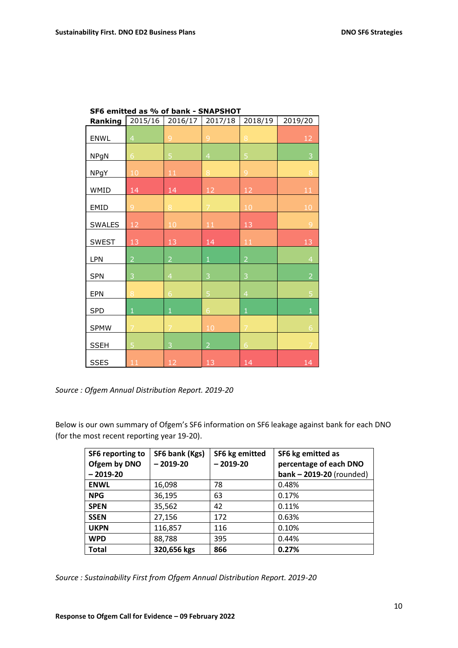| Ranking      | 2015/16        | 2016/17        | 2017/18        | 2018/19        | 2019/20        |
|--------------|----------------|----------------|----------------|----------------|----------------|
| ENWL         | $\overline{4}$ | 9              | 9              | 8              | 12             |
| <b>NPgN</b>  | $\overline{6}$ | 5              | $\overline{4}$ | 5              | 3              |
| <b>NPgY</b>  | 10             | $11\,$         | $\bf 8$        | $\overline{9}$ | $\,8\,$        |
| WMID         | 14             | 14             | 12             | 12             | 11             |
| EMID         | 9              | 8              | $\overline{7}$ | $10$           | 10             |
| SWALES       | 12             | 10             | 11             | 13             | 9              |
| <b>SWEST</b> | 13             | 13             | 14             | 11             | 13             |
| LPN          | $\overline{2}$ | $\overline{2}$ | $\mathbf 1$    | $\overline{2}$ | $\overline{4}$ |
| <b>SPN</b>   | 3              | $\overline{4}$ | 3              | 3              | $\overline{2}$ |
| EPN          | 8              | 6              | 5              | $\overline{4}$ | 5              |
| <b>SPD</b>   | $\mathbf{1}$   | $\mathbf 1$    | $6\phantom{a}$ | $\mathbf 1$    | $\mathbf{1}$   |
| <b>SPMW</b>  | $\overline{7}$ | $\overline{7}$ | 10             | $\overline{7}$ | 6              |
| <b>SSEH</b>  | 5              | 3              | $\overline{2}$ | $\overline{6}$ | $\overline{7}$ |
| SSES         | 11             | 12             | 13             | 14             | 14             |

| SF6 emitted as % of bank - SNAPSHOT |  |
|-------------------------------------|--|
|-------------------------------------|--|

*Source : Ofgem Annual Distribution Report. 2019-20*

Below is our own summary of Ofgem's SF6 information on SF6 leakage against bank for each DNO (for the most recent reporting year 19-20).

| SF6 reporting to<br>Ofgem by DNO | SF6 bank (Kgs)<br>$-2019-20$ | SF6 kg emitted<br>$-2019-20$ | SF6 kg emitted as<br>percentage of each DNO |
|----------------------------------|------------------------------|------------------------------|---------------------------------------------|
| $-2019-20$                       |                              |                              | $bank - 2019-20$ (rounded)                  |
| <b>ENWL</b>                      | 16,098                       | 78                           | 0.48%                                       |
| <b>NPG</b>                       | 36,195                       | 63                           | 0.17%                                       |
| <b>SPEN</b>                      | 35,562                       | 42                           | 0.11%                                       |
| <b>SSEN</b>                      | 27,156                       | 172                          | 0.63%                                       |
| <b>UKPN</b>                      | 116,857                      | 116                          | 0.10%                                       |
| <b>WPD</b>                       | 88,788                       | 395                          | 0.44%                                       |
| <b>Total</b>                     | 320,656 kgs                  | 866                          | 0.27%                                       |

*Source : Sustainability First from Ofgem Annual Distribution Report. 2019-20*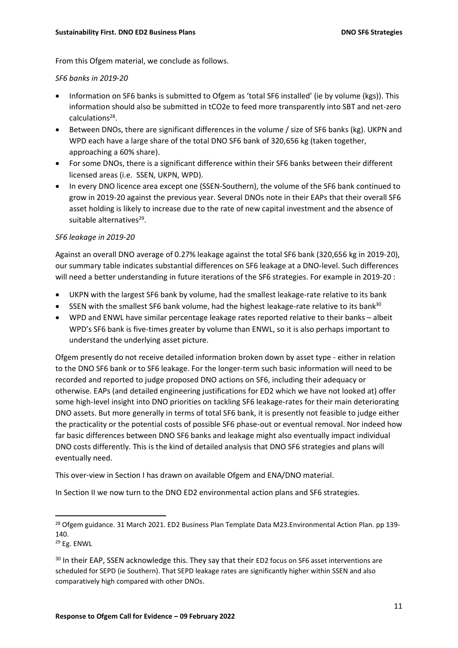From this Ofgem material, we conclude as follows.

#### *SF6 banks in 2019-20*

- Information on SF6 banks is submitted to Ofgem as 'total SF6 installed' (ie by volume (kgs)). This information should also be submitted in tCO2e to feed more transparently into SBT and net-zero calculations<sup>28</sup>.
- Between DNOs, there are significant differences in the volume / size of SF6 banks (kg). UKPN and WPD each have a large share of the total DNO SF6 bank of 320,656 kg (taken together, approaching a 60% share).
- For some DNOs, there is a significant difference within their SF6 banks between their different licensed areas (i.e. SSEN, UKPN, WPD).
- In every DNO licence area except one (SSEN-Southern), the volume of the SF6 bank continued to grow in 2019-20 against the previous year. Several DNOs note in their EAPs that their overall SF6 asset holding is likely to increase due to the rate of new capital investment and the absence of suitable alternatives<sup>29</sup>.

# *SF6 leakage in 2019-20*

Against an overall DNO average of 0.27% leakage against the total SF6 bank (320,656 kg in 2019-20), our summary table indicates substantial differences on SF6 leakage at a DNO-level. Such differences will need a better understanding in future iterations of the SF6 strategies. For example in 2019-20 :

- UKPN with the largest SF6 bank by volume, had the smallest leakage-rate relative to its bank
- SSEN with the smallest SF6 bank volume, had the highest leakage-rate relative to its bank<sup>30</sup>
- WPD and ENWL have similar percentage leakage rates reported relative to their banks albeit WPD's SF6 bank is five-times greater by volume than ENWL, so it is also perhaps important to understand the underlying asset picture.

Ofgem presently do not receive detailed information broken down by asset type - either in relation to the DNO SF6 bank or to SF6 leakage. For the longer-term such basic information will need to be recorded and reported to judge proposed DNO actions on SF6, including their adequacy or otherwise. EAPs (and detailed engineering justifications for ED2 which we have not looked at) offer some high-level insight into DNO priorities on tackling SF6 leakage-rates for their main deteriorating DNO assets. But more generally in terms of total SF6 bank, it is presently not feasible to judge either the practicality or the potential costs of possible SF6 phase-out or eventual removal. Nor indeed how far basic differences between DNO SF6 banks and leakage might also eventually impact individual DNO costs differently. This is the kind of detailed analysis that DNO SF6 strategies and plans will eventually need.

This over-view in Section I has drawn on available Ofgem and ENA/DNO material.

In Section II we now turn to the DNO ED2 environmental action plans and SF6 strategies.

<sup>&</sup>lt;sup>28</sup> Ofgem guidance. 31 March 2021. ED2 Business Plan Template Data M23. Environmental Action Plan. pp 139-140.

<sup>29</sup> Eg. ENWL

<sup>&</sup>lt;sup>30</sup> In their EAP, SSEN acknowledge this. They say that their ED2 focus on SF6 asset interventions are scheduled for SEPD (ie Southern). That SEPD leakage rates are significantly higher within SSEN and also comparatively high compared with other DNOs.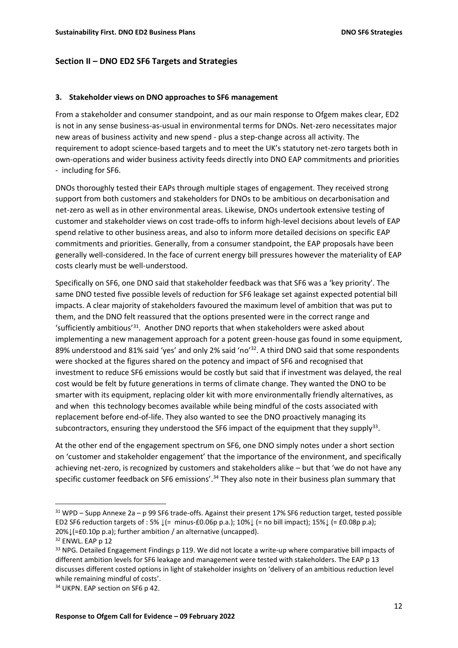### **Section II – DNO ED2 SF6 Targets and Strategies**

#### **3. Stakeholder views on DNO approaches to SF6 management**

From a stakeholder and consumer standpoint, and as our main response to Ofgem makes clear, ED2 is not in any sense business-as-usual in environmental terms for DNOs. Net-zero necessitates major new areas of business activity and new spend - plus a step-change across all activity. The requirement to adopt science-based targets and to meet the UK's statutory net-zero targets both in own-operations and wider business activity feeds directly into DNO EAP commitments and priorities - including for SF6.

DNOs thoroughly tested their EAPs through multiple stages of engagement. They received strong support from both customers and stakeholders for DNOs to be ambitious on decarbonisation and net-zero as well as in other environmental areas. Likewise, DNOs undertook extensive testing of customer and stakeholder views on cost trade-offs to inform high-level decisions about levels of EAP spend relative to other business areas, and also to inform more detailed decisions on specific EAP commitments and priorities. Generally, from a consumer standpoint, the EAP proposals have been generally well-considered. In the face of current energy bill pressures however the materiality of EAP costs clearly must be well-understood.

Specifically on SF6, one DNO said that stakeholder feedback was that SF6 was a 'key priority'. The same DNO tested five possible levels of reduction for SF6 leakage set against expected potential bill impacts. A clear majority of stakeholders favoured the maximum level of ambition that was put to them, and the DNO felt reassured that the options presented were in the correct range and 'sufficiently ambitious<sup>'31</sup>. Another DNO reports that when stakeholders were asked about implementing a new management approach for a potent green-house gas found in some equipment, 89% understood and 81% said 'yes' and only 2% said 'no'<sup>32</sup>. A third DNO said that some respondents were shocked at the figures shared on the potency and impact of SF6 and recognised that investment to reduce SF6 emissions would be costly but said that if investment was delayed, the real cost would be felt by future generations in terms of climate change. They wanted the DNO to be smarter with its equipment, replacing older kit with more environmentally friendly alternatives, as and when this technology becomes available while being mindful of the costs associated with replacement before end-of-life. They also wanted to see the DNO proactively managing its subcontractors, ensuring they understood the SF6 impact of the equipment that they supply<sup>33</sup>.

At the other end of the engagement spectrum on SF6, one DNO simply notes under a short section on 'customer and stakeholder engagement' that the importance of the environment, and specifically achieving net-zero, is recognized by customers and stakeholders alike – but that 'we do not have any specific customer feedback on SF6 emissions'.<sup>34</sup> They also note in their business plan summary that

<sup>31</sup> WPD – Supp Annexe 2a – p 99 SF6 trade-offs. Against their present 17% SF6 reduction target, tested possible ED2 SF6 reduction targets of : 5% ↓(= minus-£0.06p p.a.); 10%↓ (= no bill impact); 15%↓ (= £0.08p p.a); 20%↓(=£0.10p p.a); further ambition / an alternative (uncapped).

<sup>&</sup>lt;sup>32</sup> ENWL. EAP p 12

<sup>&</sup>lt;sup>33</sup> NPG. Detailed Engagement Findings p 119. We did not locate a write-up where comparative bill impacts of different ambition levels for SF6 leakage and management were tested with stakeholders. The EAP p 13 discusses different costed options in light of stakeholder insights on 'delivery of an ambitious reduction level while remaining mindful of costs'.

<sup>&</sup>lt;sup>34</sup> UKPN. EAP section on SF6 p 42.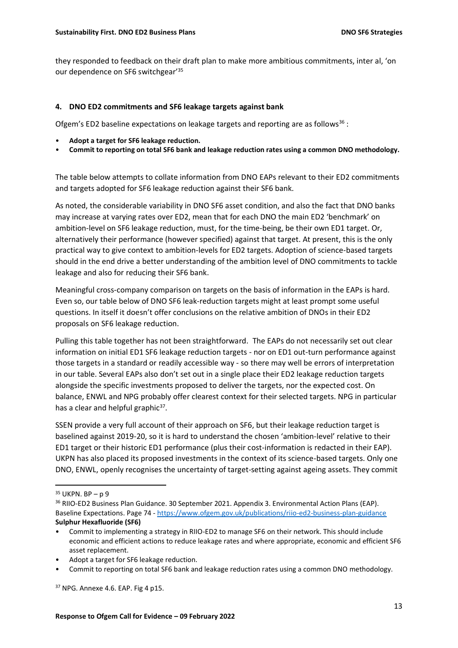they responded to feedback on their draft plan to make more ambitious commitments, inter al, 'on our dependence on SF6 switchgear'<sup>35</sup>

#### **4. DNO ED2 commitments and SF6 leakage targets against bank**

Ofgem's ED2 baseline expectations on leakage targets and reporting are as follows<sup>36</sup>:

- **Adopt a target for SF6 leakage reduction.**
- **Commit to reporting on total SF6 bank and leakage reduction rates using a common DNO methodology.**

The table below attempts to collate information from DNO EAPs relevant to their ED2 commitments and targets adopted for SF6 leakage reduction against their SF6 bank.

As noted, the considerable variability in DNO SF6 asset condition, and also the fact that DNO banks may increase at varying rates over ED2, mean that for each DNO the main ED2 'benchmark' on ambition-level on SF6 leakage reduction, must, for the time-being, be their own ED1 target. Or, alternatively their performance (however specified) against that target. At present, this is the only practical way to give context to ambition-levels for ED2 targets. Adoption of science-based targets should in the end drive a better understanding of the ambition level of DNO commitments to tackle leakage and also for reducing their SF6 bank.

Meaningful cross-company comparison on targets on the basis of information in the EAPs is hard. Even so, our table below of DNO SF6 leak-reduction targets might at least prompt some useful questions. In itself it doesn't offer conclusions on the relative ambition of DNOs in their ED2 proposals on SF6 leakage reduction.

Pulling this table together has not been straightforward. The EAPs do not necessarily set out clear information on initial ED1 SF6 leakage reduction targets - nor on ED1 out-turn performance against those targets in a standard or readily accessible way - so there may well be errors of interpretation in our table. Several EAPs also don't set out in a single place their ED2 leakage reduction targets alongside the specific investments proposed to deliver the targets, nor the expected cost. On balance, ENWL and NPG probably offer clearest context for their selected targets. NPG in particular has a clear and helpful graphic<sup>37</sup>.

SSEN provide a very full account of their approach on SF6, but their leakage reduction target is baselined against 2019-20, so it is hard to understand the chosen 'ambition-level' relative to their ED1 target or their historic ED1 performance (plus their cost-information is redacted in their EAP). UKPN has also placed its proposed investments in the context of its science-based targets. Only one DNO, ENWL, openly recognises the uncertainty of target-setting against ageing assets. They commit

- Adopt a target for SF6 leakage reduction.
- Commit to reporting on total SF6 bank and leakage reduction rates using a common DNO methodology.

 $35$  UKPN. BP – p 9

<sup>36</sup> RIIO-ED2 Business Plan Guidance. 30 September 2021. Appendix 3. Environmental Action Plans (EAP). Baseline Expectations. Page 74 - <https://www.ofgem.gov.uk/publications/riio-ed2-business-plan-guidance> **Sulphur Hexafluoride (SF6)**

<sup>•</sup> Commit to implementing a strategy in RIIO-ED2 to manage SF6 on their network. This should include economic and efficient actions to reduce leakage rates and where appropriate, economic and efficient SF6 asset replacement.

<sup>37</sup> NPG. Annexe 4.6. EAP. Fig 4 p15.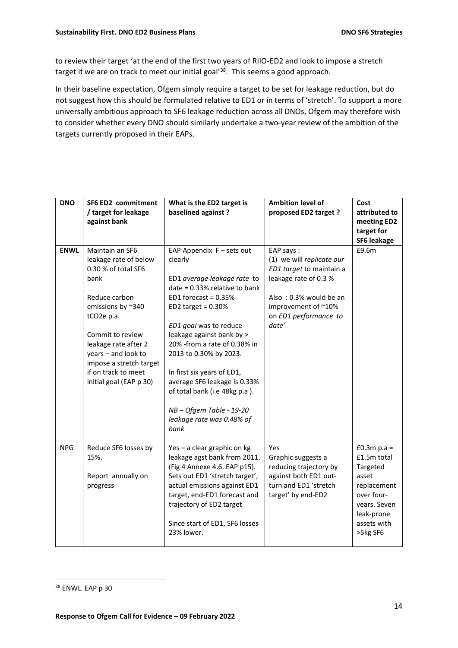to review their target 'at the end of the first two years of RIIO-ED2 and look to impose a stretch target if we are on track to meet our initial goal'<sup>38</sup>. This seems a good approach.

In their baseline expectation, Ofgem simply require a target to be set for leakage reduction, but do not suggest how this should be formulated relative to ED1 or in terms of 'stretch'. To support a more universally ambitious approach to SF6 leakage reduction across all DNOs, Ofgem may therefore wish to consider whether every DNO should similarly undertake a two-year review of the ambition of the targets currently proposed in their EAPs.

| <b>DNO</b>  | SF6 ED2 commitment<br>/ target for leakage<br>against bank                                                                                                                                                                                                                               | What is the ED2 target is<br>baselined against?                                                                                                                                                                                                                                                                                                                                                                                          | <b>Ambition level of</b><br>proposed ED2 target ?                                                                                                                              | Cost<br>attributed to<br>meeting ED2<br>target for<br><b>SF6 leakage</b>                                                                 |
|-------------|------------------------------------------------------------------------------------------------------------------------------------------------------------------------------------------------------------------------------------------------------------------------------------------|------------------------------------------------------------------------------------------------------------------------------------------------------------------------------------------------------------------------------------------------------------------------------------------------------------------------------------------------------------------------------------------------------------------------------------------|--------------------------------------------------------------------------------------------------------------------------------------------------------------------------------|------------------------------------------------------------------------------------------------------------------------------------------|
| <b>ENWL</b> | Maintain an SF6<br>leakage rate of below<br>0.30 % of total SF6<br>bank<br>Reduce carbon<br>emissions by ~340<br>tCO <sub>2</sub> e p.a.<br>Commit to review<br>leakage rate after 2<br>years - and look to<br>impose a stretch target<br>if on track to meet<br>initial goal (EAP p 30) | EAP Appendix F - sets out<br>clearly<br>ED1 average leakage rate to<br>date = 0.33% relative to bank<br>ED1 forecast = $0.35%$<br>ED2 target = $0.30\%$<br>ED1 goal was to reduce<br>leakage against bank by ><br>20% - from a rate of 0.38% in<br>2013 to 0.30% by 2023.<br>In first six years of ED1,<br>average SF6 leakage is 0.33%<br>of total bank (i.e 48kg p.a ).<br>NB-Ofgem Table - 19-20<br>leakage rate was 0.48% of<br>bank | EAP says:<br>(1) we will replicate our<br>ED1 target to maintain a<br>leakage rate of 0.3 %<br>Also: 0.3% would be an<br>improvement of ~10%<br>on ED1 performance to<br>date' | £9.6m                                                                                                                                    |
| <b>NPG</b>  | Reduce SF6 losses by<br>15%.<br>Report annually on<br>progress                                                                                                                                                                                                                           | Yes - a clear graphic on kg<br>leakage agst bank from 2011.<br>(Fig 4 Annexe 4.6. EAP p15).<br>Sets out ED1 'stretch target',<br>actual emissions against ED1<br>target, end-ED1 forecast and<br>trajectory of ED2 target<br>Since start of ED1, SF6 losses<br>23% lower.                                                                                                                                                                | Yes<br>Graphic suggests a<br>reducing trajectory by<br>against both ED1 out-<br>turn and ED1 'stretch<br>target' by end-ED2                                                    | £0.3 $m$ p.a =<br>£1.5m total<br>Targeted<br>asset<br>replacement<br>over four-<br>years. Seven<br>leak-prone<br>assets with<br>>5kg SF6 |

<sup>38</sup> ENWL. EAP p 30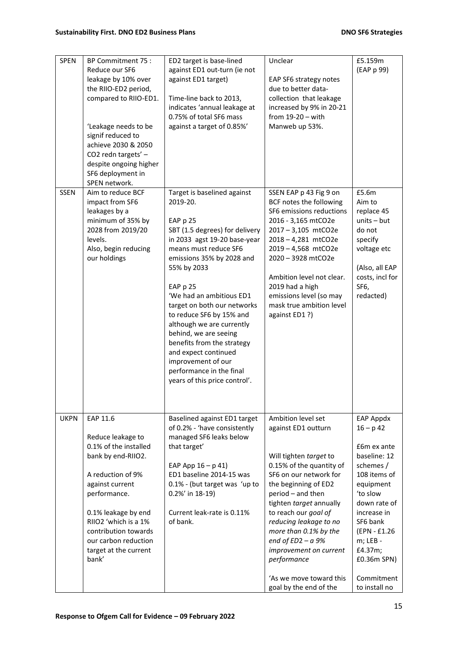| <b>SPEN</b> | BP Commitment 75 :<br>Reduce our SF6<br>leakage by 10% over<br>the RIIO-ED2 period,<br>compared to RIIO-ED1.<br>'Leakage needs to be<br>signif reduced to<br>achieve 2030 & 2050<br>CO2 redn targets' -<br>despite ongoing higher<br>SF6 deployment in<br>SPEN network. | ED2 target is base-lined<br>against ED1 out-turn (ie not<br>against ED1 target)<br>Time-line back to 2013,<br>indicates 'annual leakage at<br>0.75% of total SF6 mass<br>against a target of 0.85%'                                                                                                                                                                                                                                                                                          | Unclear<br>EAP SF6 strategy notes<br>due to better data-<br>collection that leakage<br>increased by 9% in 20-21<br>from $19-20 - with$<br>Manweb up 53%.                                                                                                                                                                                                                                          | £5.159m<br>(EAP p 99)                                                                                                                                                                                                                                 |
|-------------|-------------------------------------------------------------------------------------------------------------------------------------------------------------------------------------------------------------------------------------------------------------------------|----------------------------------------------------------------------------------------------------------------------------------------------------------------------------------------------------------------------------------------------------------------------------------------------------------------------------------------------------------------------------------------------------------------------------------------------------------------------------------------------|---------------------------------------------------------------------------------------------------------------------------------------------------------------------------------------------------------------------------------------------------------------------------------------------------------------------------------------------------------------------------------------------------|-------------------------------------------------------------------------------------------------------------------------------------------------------------------------------------------------------------------------------------------------------|
| <b>SSEN</b> | Aim to reduce BCF<br>impact from SF6<br>leakages by a<br>minimum of 35% by<br>2028 from 2019/20<br>levels.<br>Also, begin reducing<br>our holdings                                                                                                                      | Target is baselined against<br>2019-20.<br>EAP p 25<br>SBT (1.5 degrees) for delivery<br>in 2033 agst 19-20 base-year<br>means must reduce SF6<br>emissions 35% by 2028 and<br>55% by 2033<br>EAP p 25<br>'We had an ambitious ED1<br>target on both our networks<br>to reduce SF6 by 15% and<br>although we are currently<br>behind, we are seeing<br>benefits from the strategy<br>and expect continued<br>improvement of our<br>performance in the final<br>years of this price control'. | SSEN EAP p 43 Fig 9 on<br>BCF notes the following<br>SF6 emissions reductions<br>2016 - 3,165 mtCO2e<br>2017-3,105 mtCO2e<br>2018-4,281 mtCO2e<br>2019-4,568 mtCO2e<br>2020 - 3928 mtCO2e<br>Ambition level not clear.<br>2019 had a high<br>emissions level (so may<br>mask true ambition level<br>against ED1 ?)                                                                                | £5.6m<br>Aim to<br>replace 45<br>$units - but$<br>do not<br>specify<br>voltage etc<br>(Also, all EAP<br>costs, incl for<br>SF <sub>6</sub><br>redacted)                                                                                               |
| <b>UKPN</b> | EAP 11.6<br>Reduce leakage to<br>0.1% of the installed<br>bank by end-RIIO2.<br>A reduction of 9%<br>against current<br>performance.<br>0.1% leakage by end<br>RIIO2 'which is a 1%<br>contribution towards<br>our carbon reduction<br>target at the current<br>bank'   | Baselined against ED1 target<br>of 0.2% - 'have consistently<br>managed SF6 leaks below<br>that target'<br>EAP App $16 - p 41$<br>ED1 baseline 2014-15 was<br>0.1% - (but target was 'up to<br>0.2%' in 18-19)<br>Current leak-rate is 0.11%<br>of bank.                                                                                                                                                                                                                                     | Ambition level set<br>against ED1 outturn<br>Will tighten target to<br>0.15% of the quantity of<br>SF6 on our network for<br>the beginning of ED2<br>period - and then<br>tighten target annually<br>to reach our goal of<br>reducing leakage to no<br>more than 0.1% by the<br>end of $ED2 - a$ 9%<br>improvement on current<br>performance<br>'As we move toward this<br>goal by the end of the | <b>EAP Appdx</b><br>$16 - p 42$<br>£6m ex ante<br>baseline: 12<br>schemes /<br>108 items of<br>equipment<br>'to slow<br>down rate of<br>increase in<br>SF6 bank<br>(EPN - £1.26)<br>m; LEB -<br>£4.37m;<br>£0.36m SPN)<br>Commitment<br>to install no |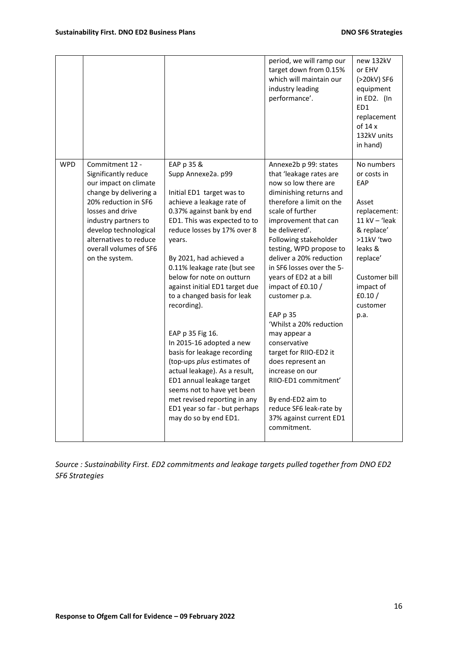|            |                                                                                                                                                                                                                                                               |                                                                                                                                                                                                                                                                                                                                                                                                                                                                                                                                                                                                                                                                            | period, we will ramp our<br>target down from 0.15%<br>which will maintain our<br>industry leading<br>performance'.                                                                                                                                                                                                                                                                                                                                                                                                                                                                                                                   | new 132kV<br>or EHV<br>(>20kV) SF6<br>equipment<br>in ED2. (In<br>ED1<br>replacement<br>of $14x$<br>132kV units<br>in hand)                                                                   |
|------------|---------------------------------------------------------------------------------------------------------------------------------------------------------------------------------------------------------------------------------------------------------------|----------------------------------------------------------------------------------------------------------------------------------------------------------------------------------------------------------------------------------------------------------------------------------------------------------------------------------------------------------------------------------------------------------------------------------------------------------------------------------------------------------------------------------------------------------------------------------------------------------------------------------------------------------------------------|--------------------------------------------------------------------------------------------------------------------------------------------------------------------------------------------------------------------------------------------------------------------------------------------------------------------------------------------------------------------------------------------------------------------------------------------------------------------------------------------------------------------------------------------------------------------------------------------------------------------------------------|-----------------------------------------------------------------------------------------------------------------------------------------------------------------------------------------------|
| <b>WPD</b> | Commitment 12 -<br>Significantly reduce<br>our impact on climate<br>change by delivering a<br>20% reduction in SF6<br>losses and drive<br>industry partners to<br>develop technological<br>alternatives to reduce<br>overall volumes of SF6<br>on the system. | EAP p 35 &<br>Supp Annexe2a. p99<br>Initial ED1 target was to<br>achieve a leakage rate of<br>0.37% against bank by end<br>ED1. This was expected to to<br>reduce losses by 17% over 8<br>years.<br>By 2021, had achieved a<br>0.11% leakage rate (but see<br>below for note on outturn<br>against initial ED1 target due<br>to a changed basis for leak<br>recording).<br>EAP p 35 Fig 16.<br>In 2015-16 adopted a new<br>basis for leakage recording<br>(top-ups plus estimates of<br>actual leakage). As a result,<br>ED1 annual leakage target<br>seems not to have yet been<br>met revised reporting in any<br>ED1 year so far - but perhaps<br>may do so by end ED1. | Annexe2b p 99: states<br>that 'leakage rates are<br>now so low there are<br>diminishing returns and<br>therefore a limit on the<br>scale of further<br>improvement that can<br>be delivered'.<br>Following stakeholder<br>testing, WPD propose to<br>deliver a 20% reduction<br>in SF6 losses over the 5-<br>years of ED2 at a bill<br>impact of £0.10 /<br>customer p.a.<br>EAP p 35<br>'Whilst a 20% reduction<br>may appear a<br>conservative<br>target for RIIO-ED2 it<br>does represent an<br>increase on our<br>RIIO-ED1 commitment'<br>By end-ED2 aim to<br>reduce SF6 leak-rate by<br>37% against current ED1<br>commitment. | No numbers<br>or costs in<br>EAP<br>Asset<br>replacement:<br>$11$ kV $-$ 'leak<br>& replace'<br>>11kV 'two<br>leaks &<br>replace'<br>Customer bill<br>impact of<br>£0.10/<br>customer<br>p.a. |

*Source : Sustainability First. ED2 commitments and leakage targets pulled together from DNO ED2 SF6 Strategies*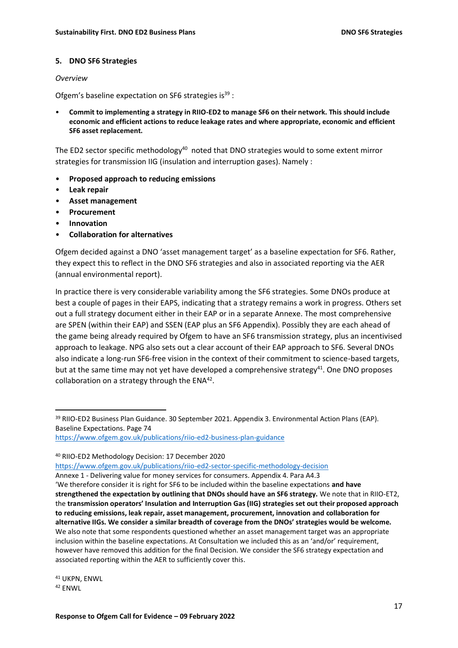#### **5. DNO SF6 Strategies**

#### *Overview*

Ofgem's baseline expectation on SF6 strategies is $^{39}$  :

• **Commit to implementing a strategy in RIIO-ED2 to manage SF6 on their network. This should include economic and efficient actions to reduce leakage rates and where appropriate, economic and efficient SF6 asset replacement.**

The ED2 sector specific methodology<sup>40</sup> noted that DNO strategies would to some extent mirror strategies for transmission IIG (insulation and interruption gases). Namely :

- **Proposed approach to reducing emissions**
- **Leak repair**
- **Asset management**
- **Procurement**
- **Innovation**
- **Collaboration for alternatives**

Ofgem decided against a DNO 'asset management target' as a baseline expectation for SF6. Rather, they expect this to reflect in the DNO SF6 strategies and also in associated reporting via the AER (annual environmental report).

In practice there is very considerable variability among the SF6 strategies. Some DNOs produce at best a couple of pages in their EAPS, indicating that a strategy remains a work in progress. Others set out a full strategy document either in their EAP or in a separate Annexe. The most comprehensive are SPEN (within their EAP) and SSEN (EAP plus an SF6 Appendix). Possibly they are each ahead of the game being already required by Ofgem to have an SF6 transmission strategy, plus an incentivised approach to leakage. NPG also sets out a clear account of their EAP approach to SF6. Several DNOs also indicate a long-run SF6-free vision in the context of their commitment to science-based targets, but at the same time may not yet have developed a comprehensive strategy<sup>41</sup>. One DNO proposes collaboration on a strategy through the  $ENA<sup>42</sup>$ .

<https://www.ofgem.gov.uk/publications/riio-ed2-sector-specific-methodology-decision>

Annexe 1 - Delivering value for money services for consumers. Appendix 4. Para A4.3

<sup>41</sup> UKPN, ENWL <sup>42</sup> ENWL

<sup>39</sup> RIIO-ED2 Business Plan Guidance. 30 September 2021. Appendix 3. Environmental Action Plans (EAP). Baseline Expectations. Page 74

<https://www.ofgem.gov.uk/publications/riio-ed2-business-plan-guidance>

<sup>40</sup> RIIO-ED2 Methodology Decision: 17 December 2020

<sup>&#</sup>x27;We therefore consider it is right for SF6 to be included within the baseline expectations **and have strengthened the expectation by outlining that DNOs should have an SF6 strategy.** We note that in RIIO-ET2, the **transmission operators' Insulation and Interruption Gas (IIG) strategies set out their proposed approach to reducing emissions, leak repair, asset management, procurement, innovation and collaboration for alternative IIGs. We consider a similar breadth of coverage from the DNOs' strategies would be welcome.** We also note that some respondents questioned whether an asset management target was an appropriate inclusion within the baseline expectations. At Consultation we included this as an 'and/or' requirement, however have removed this addition for the final Decision. We consider the SF6 strategy expectation and associated reporting within the AER to sufficiently cover this.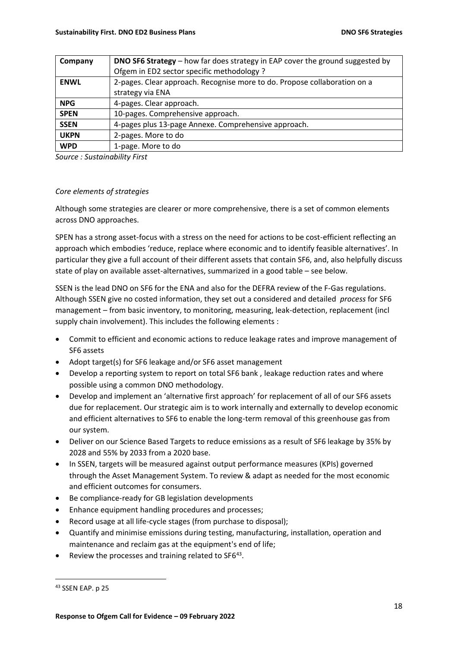| Company     | <b>DNO SF6 Strategy</b> – how far does strategy in EAP cover the ground suggested by |
|-------------|--------------------------------------------------------------------------------------|
|             | Ofgem in ED2 sector specific methodology ?                                           |
| <b>ENWL</b> | 2-pages. Clear approach. Recognise more to do. Propose collaboration on a            |
|             | strategy via ENA                                                                     |
| <b>NPG</b>  | 4-pages. Clear approach.                                                             |
| <b>SPEN</b> | 10-pages. Comprehensive approach.                                                    |
| <b>SSEN</b> | 4-pages plus 13-page Annexe. Comprehensive approach.                                 |
| <b>UKPN</b> | 2-pages. More to do                                                                  |
| <b>WPD</b>  | 1-page. More to do                                                                   |

*Source : Sustainability First* 

### *Core elements of strategies*

Although some strategies are clearer or more comprehensive, there is a set of common elements across DNO approaches.

SPEN has a strong asset-focus with a stress on the need for actions to be cost-efficient reflecting an approach which embodies 'reduce, replace where economic and to identify feasible alternatives'. In particular they give a full account of their different assets that contain SF6, and, also helpfully discuss state of play on available asset-alternatives, summarized in a good table – see below.

SSEN is the lead DNO on SF6 for the ENA and also for the DEFRA review of the F-Gas regulations. Although SSEN give no costed information, they set out a considered and detailed *process* for SF6 management – from basic inventory, to monitoring, measuring, leak-detection, replacement (incl supply chain involvement). This includes the following elements :

- Commit to efficient and economic actions to reduce leakage rates and improve management of SF6 assets
- Adopt target(s) for SF6 leakage and/or SF6 asset management
- Develop a reporting system to report on total SF6 bank , leakage reduction rates and where possible using a common DNO methodology.
- Develop and implement an 'alternative first approach' for replacement of all of our SF6 assets due for replacement. Our strategic aim is to work internally and externally to develop economic and efficient alternatives to SF6 to enable the long-term removal of this greenhouse gas from our system.
- Deliver on our Science Based Targets to reduce emissions as a result of SF6 leakage by 35% by 2028 and 55% by 2033 from a 2020 base.
- In SSEN, targets will be measured against output performance measures (KPIs) governed through the Asset Management System. To review & adapt as needed for the most economic and efficient outcomes for consumers.
- Be compliance-ready for GB legislation developments
- Enhance equipment handling procedures and processes;
- Record usage at all life-cycle stages (from purchase to disposal);
- Quantify and minimise emissions during testing, manufacturing, installation, operation and maintenance and reclaim gas at the equipment's end of life;
- Review the processes and training related to SF6 $43$ .

<sup>43</sup> SSEN EAP. p 25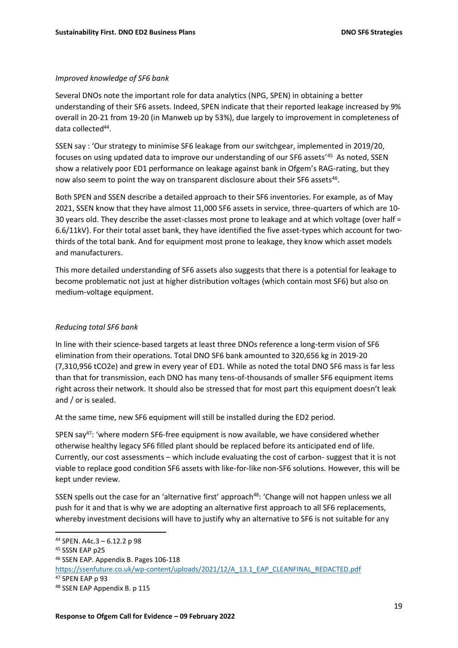#### *Improved knowledge of SF6 bank*

Several DNOs note the important role for data analytics (NPG, SPEN) in obtaining a better understanding of their SF6 assets. Indeed, SPEN indicate that their reported leakage increased by 9% overall in 20-21 from 19-20 (in Manweb up by 53%), due largely to improvement in completeness of data collected<sup>44</sup>.

SSEN say : 'Our strategy to minimise SF6 leakage from our switchgear, implemented in 2019/20, focuses on using updated data to improve our understanding of our SF6 assets' <sup>45</sup> As noted, SSEN show a relatively poor ED1 performance on leakage against bank in Ofgem's RAG-rating, but they now also seem to point the way on transparent disclosure about their SF6 assets<sup>46</sup>.

Both SPEN and SSEN describe a detailed approach to their SF6 inventories. For example, as of May 2021, SSEN know that they have almost 11,000 SF6 assets in service, three-quarters of which are 10- 30 years old. They describe the asset-classes most prone to leakage and at which voltage (over half = 6.6/11kV). For their total asset bank, they have identified the five asset-types which account for twothirds of the total bank. And for equipment most prone to leakage, they know which asset models and manufacturers.

This more detailed understanding of SF6 assets also suggests that there is a potential for leakage to become problematic not just at higher distribution voltages (which contain most SF6) but also on medium-voltage equipment.

### *Reducing total SF6 bank*

In line with their science-based targets at least three DNOs reference a long-term vision of SF6 elimination from their operations. Total DNO SF6 bank amounted to 320,656 kg in 2019-20 (7,310,956 tCO2e) and grew in every year of ED1. While as noted the total DNO SF6 mass is far less than that for transmission, each DNO has many tens-of-thousands of smaller SF6 equipment items right across their network. It should also be stressed that for most part this equipment doesn't leak and / or is sealed.

At the same time, new SF6 equipment will still be installed during the ED2 period.

SPEN say<sup>47</sup>: 'where modern SF6-free equipment is now available, we have considered whether otherwise healthy legacy SF6 filled plant should be replaced before its anticipated end of life. Currently, our cost assessments – which include evaluating the cost of carbon- suggest that it is not viable to replace good condition SF6 assets with like-for-like non-SF6 solutions. However, this will be kept under review.

SSEN spells out the case for an 'alternative first' approach<sup>48</sup>: 'Change will not happen unless we all push for it and that is why we are adopting an alternative first approach to all SF6 replacements, whereby investment decisions will have to justify why an alternative to SF6 is not suitable for any

<sup>44</sup> SPEN. A4c.3 – 6.12.2 p 98

<sup>45</sup> SSSN EAP p25

<sup>46</sup> SSEN EAP. Appendix B. Pages 106-118

[https://ssenfuture.co.uk/wp-content/uploads/2021/12/A\\_13.1\\_EAP\\_CLEANFINAL\\_REDACTED.pdf](https://ssenfuture.co.uk/wp-content/uploads/2021/12/A_13.1_EAP_CLEANFINAL_REDACTED.pdf) <sup>47</sup> SPEN EAP p 93

<sup>48</sup> SSEN EAP Appendix B. p 115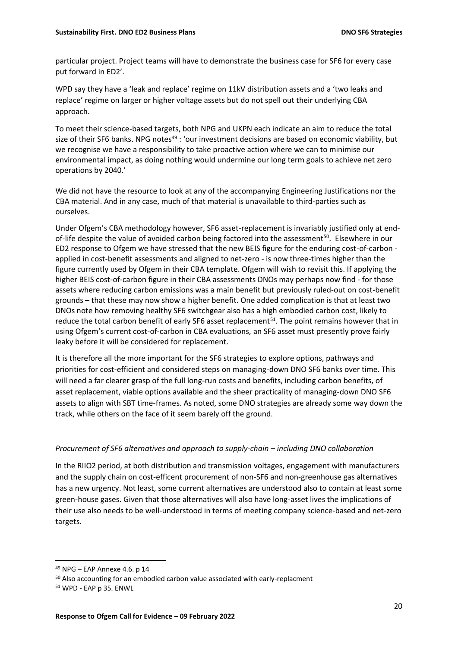particular project. Project teams will have to demonstrate the business case for SF6 for every case put forward in ED2'.

WPD say they have a 'leak and replace' regime on 11kV distribution assets and a 'two leaks and replace' regime on larger or higher voltage assets but do not spell out their underlying CBA approach.

To meet their science-based targets, both NPG and UKPN each indicate an aim to reduce the total size of their SF6 banks. NPG notes<sup>49</sup>: 'our investment decisions are based on economic viability, but we recognise we have a responsibility to take proactive action where we can to minimise our environmental impact, as doing nothing would undermine our long term goals to achieve net zero operations by 2040.'

We did not have the resource to look at any of the accompanying Engineering Justifications nor the CBA material. And in any case, much of that material is unavailable to third-parties such as ourselves.

Under Ofgem's CBA methodology however, SF6 asset-replacement is invariably justified only at endof-life despite the value of avoided carbon being factored into the assessment<sup>50</sup>. Elsewhere in our ED2 response to Ofgem we have stressed that the new BEIS figure for the enduring cost-of-carbon applied in cost-benefit assessments and aligned to net-zero - is now three-times higher than the figure currently used by Ofgem in their CBA template. Ofgem will wish to revisit this. If applying the higher BEIS cost-of-carbon figure in their CBA assessments DNOs may perhaps now find - for those assets where reducing carbon emissions was a main benefit but previously ruled-out on cost-benefit grounds – that these may now show a higher benefit. One added complication is that at least two DNOs note how removing healthy SF6 switchgear also has a high embodied carbon cost, likely to reduce the total carbon benefit of early SF6 asset replacement<sup>51</sup>. The point remains however that in using Ofgem's current cost-of-carbon in CBA evaluations, an SF6 asset must presently prove fairly leaky before it will be considered for replacement.

It is therefore all the more important for the SF6 strategies to explore options, pathways and priorities for cost-efficient and considered steps on managing-down DNO SF6 banks over time. This will need a far clearer grasp of the full long-run costs and benefits, including carbon benefits, of asset replacement, viable options available and the sheer practicality of managing-down DNO SF6 assets to align with SBT time-frames. As noted, some DNO strategies are already some way down the track, while others on the face of it seem barely off the ground.

# *Procurement of SF6 alternatives and approach to supply-chain – including DNO collaboration*

In the RIIO2 period, at both distribution and transmission voltages, engagement with manufacturers and the supply chain on cost-efficent procurement of non-SF6 and non-greenhouse gas alternatives has a new urgency. Not least, some current alternatives are understood also to contain at least some green-house gases. Given that those alternatives will also have long-asset lives the implications of their use also needs to be well-understood in terms of meeting company science-based and net-zero targets.

<sup>49</sup> NPG – EAP Annexe 4.6. p 14

<sup>50</sup> Also accounting for an embodied carbon value associated with early-replacment

<sup>51</sup> WPD - EAP p 35. ENWL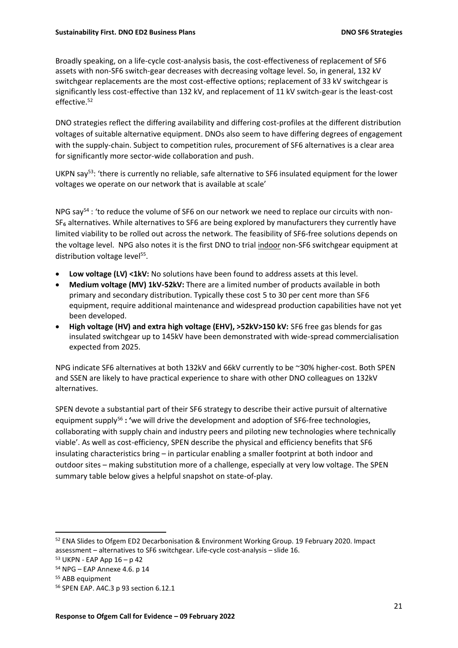Broadly speaking, on a life-cycle cost-analysis basis, the cost-effectiveness of replacement of SF6 assets with non-SF6 switch-gear decreases with decreasing voltage level. So, in general, 132 kV switchgear replacements are the most cost-effective options; replacement of 33 kV switchgear is significantly less cost-effective than 132 kV, and replacement of 11 kV switch-gear is the least-cost effective.<sup>52</sup>

DNO strategies reflect the differing availability and differing cost-profiles at the different distribution voltages of suitable alternative equipment. DNOs also seem to have differing degrees of engagement with the supply-chain. Subject to competition rules, procurement of SF6 alternatives is a clear area for significantly more sector-wide collaboration and push.

UKPN say<sup>53</sup>: 'there is currently no reliable, safe alternative to SF6 insulated equipment for the lower voltages we operate on our network that is available at scale'

NPG say<sup>54</sup> : 'to reduce the volume of SF6 on our network we need to replace our circuits with non- $SF<sub>6</sub>$  alternatives. While alternatives to SF6 are being explored by manufacturers they currently have limited viability to be rolled out across the network. The feasibility of SF6-free solutions depends on the voltage level. NPG also notes it is the first DNO to trial indoor non-SF6 switchgear equipment at distribution voltage level<sup>55</sup>.

- Low voltage (LV) <1kV: No solutions have been found to address assets at this level.
- **Medium voltage (MV) 1kV-52kV:** There are a limited number of products available in both primary and secondary distribution. Typically these cost 5 to 30 per cent more than SF6 equipment, require additional maintenance and widespread production capabilities have not yet been developed.
- **High voltage (HV) and extra high voltage (EHV), >52kV>150 kV:** SF6 free gas blends for gas insulated switchgear up to 145kV have been demonstrated with wide-spread commercialisation expected from 2025.

NPG indicate SF6 alternatives at both 132kV and 66kV currently to be ~30% higher-cost. Both SPEN and SSEN are likely to have practical experience to share with other DNO colleagues on 132kV alternatives.

SPEN devote a substantial part of their SF6 strategy to describe their active pursuit of alternative equipment supply <sup>56</sup> **: '**we will drive the development and adoption of SF6-free technologies, collaborating with supply chain and industry peers and piloting new technologies where technically viable'. As well as cost-efficiency, SPEN describe the physical and efficiency benefits that SF6 insulating characteristics bring – in particular enabling a smaller footprint at both indoor and outdoor sites – making substitution more of a challenge, especially at very low voltage. The SPEN summary table below gives a helpful snapshot on state-of-play.

<sup>52</sup> ENA Slides to Ofgem ED2 Decarbonisation & Environment Working Group. 19 February 2020. Impact assessment – alternatives to SF6 switchgear. Life-cycle cost-analysis – slide 16.

<sup>53</sup> UKPN - EAP App 16 – p 42

<sup>54</sup> NPG – EAP Annexe 4.6. p 14

<sup>55</sup> ABB equipment

<sup>56</sup> SPEN EAP. A4C.3 p 93 section 6.12.1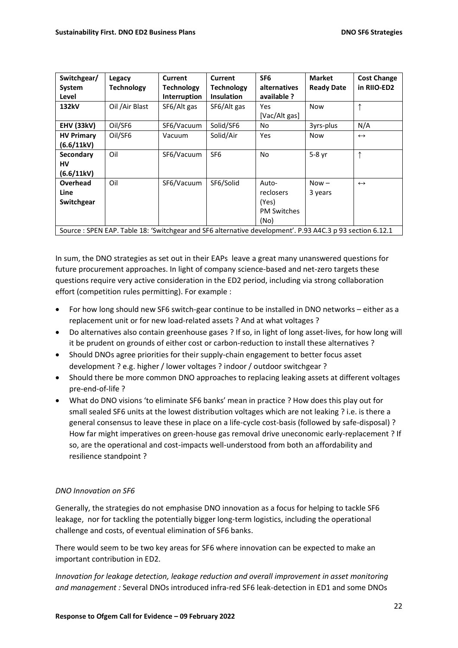| Switchgear/<br>System<br>Level | Legacy<br><b>Technology</b>                                                                              | Current<br><b>Technology</b><br>Interruption | Current<br><b>Technology</b><br><b>Insulation</b> | SF <sub>6</sub><br>alternatives<br>available ? | <b>Market</b><br><b>Ready Date</b> | <b>Cost Change</b><br>in RIIO-ED2 |
|--------------------------------|----------------------------------------------------------------------------------------------------------|----------------------------------------------|---------------------------------------------------|------------------------------------------------|------------------------------------|-----------------------------------|
| 132kV                          | Oil /Air Blast                                                                                           | SF6/Alt gas                                  | SF6/Alt gas                                       | Yes<br>[Vac/Alt gas]                           | <b>Now</b>                         | ↑                                 |
| <b>EHV (33kV)</b>              | Oil/SF6                                                                                                  | SF6/Vacuum                                   | Solid/SF6                                         | No                                             | 3yrs-plus                          | N/A                               |
| <b>HV Primary</b>              | Oil/SF6                                                                                                  | Vacuum                                       | Solid/Air                                         | Yes                                            | <b>Now</b>                         | $\leftrightarrow$                 |
| (6.6/11kV)                     |                                                                                                          |                                              |                                                   |                                                |                                    |                                   |
| Secondary                      | Oil                                                                                                      | SF6/Vacuum                                   | SF <sub>6</sub>                                   | No                                             | 5-8 yr                             | ↑                                 |
| HV                             |                                                                                                          |                                              |                                                   |                                                |                                    |                                   |
| (6.6/11kV)                     |                                                                                                          |                                              |                                                   |                                                |                                    |                                   |
| <b>Overhead</b>                | Oil                                                                                                      | SF6/Vacuum                                   | SF6/Solid                                         | Auto-                                          | $Now -$                            | $\leftrightarrow$                 |
| Line                           |                                                                                                          |                                              |                                                   | reclosers                                      | 3 years                            |                                   |
| Switchgear                     |                                                                                                          |                                              |                                                   | (Yes)                                          |                                    |                                   |
|                                |                                                                                                          |                                              |                                                   | <b>PM Switches</b>                             |                                    |                                   |
|                                |                                                                                                          |                                              |                                                   | (No)                                           |                                    |                                   |
|                                | Source: SPEN EAP. Table 18: 'Switchgear and SF6 alternative development'. P.93 A4C.3 p 93 section 6.12.1 |                                              |                                                   |                                                |                                    |                                   |

In sum, the DNO strategies as set out in their EAPs leave a great many unanswered questions for future procurement approaches. In light of company science-based and net-zero targets these questions require very active consideration in the ED2 period, including via strong collaboration effort (competition rules permitting). For example :

- For how long should new SF6 switch-gear continue to be installed in DNO networks either as a replacement unit or for new load-related assets ? And at what voltages ?
- Do alternatives also contain greenhouse gases ? If so, in light of long asset-lives, for how long will it be prudent on grounds of either cost or carbon-reduction to install these alternatives ?
- Should DNOs agree priorities for their supply-chain engagement to better focus asset development ? e.g. higher / lower voltages ? indoor / outdoor switchgear ?
- Should there be more common DNO approaches to replacing leaking assets at different voltages pre-end-of-life ?
- What do DNO visions 'to eliminate SF6 banks' mean in practice ? How does this play out for small sealed SF6 units at the lowest distribution voltages which are not leaking ? i.e. is there a general consensus to leave these in place on a life-cycle cost-basis (followed by safe-disposal) ? How far might imperatives on green-house gas removal drive uneconomic early-replacement ? If so, are the operational and cost-impacts well-understood from both an affordability and resilience standpoint ?

# *DNO Innovation on SF6*

Generally, the strategies do not emphasise DNO innovation as a focus for helping to tackle SF6 leakage, nor for tackling the potentially bigger long-term logistics, including the operational challenge and costs, of eventual elimination of SF6 banks.

There would seem to be two key areas for SF6 where innovation can be expected to make an important contribution in ED2.

*Innovation for leakage detection, leakage reduction and overall improvement in asset monitoring and management :* Several DNOs introduced infra-red SF6 leak-detection in ED1 and some DNOs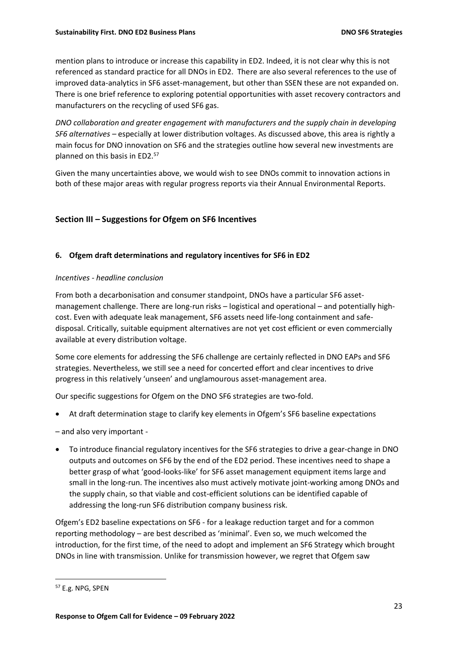mention plans to introduce or increase this capability in ED2. Indeed, it is not clear why this is not referenced as standard practice for all DNOs in ED2. There are also several references to the use of improved data-analytics in SF6 asset-management, but other than SSEN these are not expanded on. There is one brief reference to exploring potential opportunities with asset recovery contractors and manufacturers on the recycling of used SF6 gas.

*DNO collaboration and greater engagement with manufacturers and the supply chain in developing SF6 alternatives* – especially at lower distribution voltages. As discussed above, this area is rightly a main focus for DNO innovation on SF6 and the strategies outline how several new investments are planned on this basis in ED2.<sup>57</sup>

Given the many uncertainties above, we would wish to see DNOs commit to innovation actions in both of these major areas with regular progress reports via their Annual Environmental Reports.

# **Section III – Suggestions for Ofgem on SF6 Incentives**

### **6. Ofgem draft determinations and regulatory incentives for SF6 in ED2**

#### *Incentives - headline conclusion*

From both a decarbonisation and consumer standpoint, DNOs have a particular SF6 assetmanagement challenge. There are long-run risks – logistical and operational – and potentially highcost. Even with adequate leak management, SF6 assets need life-long containment and safedisposal. Critically, suitable equipment alternatives are not yet cost efficient or even commercially available at every distribution voltage.

Some core elements for addressing the SF6 challenge are certainly reflected in DNO EAPs and SF6 strategies. Nevertheless, we still see a need for concerted effort and clear incentives to drive progress in this relatively 'unseen' and unglamourous asset-management area.

Our specific suggestions for Ofgem on the DNO SF6 strategies are two-fold.

- At draft determination stage to clarify key elements in Ofgem's SF6 baseline expectations
- and also very important -
- To introduce financial regulatory incentives for the SF6 strategies to drive a gear-change in DNO outputs and outcomes on SF6 by the end of the ED2 period. These incentives need to shape a better grasp of what 'good-looks-like' for SF6 asset management equipment items large and small in the long-run. The incentives also must actively motivate joint-working among DNOs and the supply chain, so that viable and cost-efficient solutions can be identified capable of addressing the long-run SF6 distribution company business risk.

Ofgem's ED2 baseline expectations on SF6 - for a leakage reduction target and for a common reporting methodology – are best described as 'minimal'. Even so, we much welcomed the introduction, for the first time, of the need to adopt and implement an SF6 Strategy which brought DNOs in line with transmission. Unlike for transmission however, we regret that Ofgem saw

<sup>57</sup> E.g. NPG, SPEN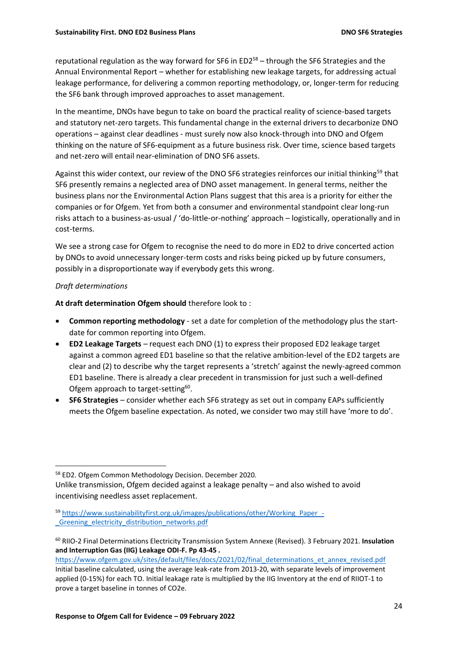reputational regulation as the way forward for SF6 in ED2<sup>58</sup> – through the SF6 Strategies and the Annual Environmental Report – whether for establishing new leakage targets, for addressing actual leakage performance, for delivering a common reporting methodology, or, longer-term for reducing the SF6 bank through improved approaches to asset management.

In the meantime, DNOs have begun to take on board the practical reality of science-based targets and statutory net-zero targets. This fundamental change in the external drivers to decarbonize DNO operations – against clear deadlines - must surely now also knock-through into DNO and Ofgem thinking on the nature of SF6-equipment as a future business risk. Over time, science based targets and net-zero will entail near-elimination of DNO SF6 assets.

Against this wider context, our review of the DNO SF6 strategies reinforces our initial thinking<sup>59</sup> that SF6 presently remains a neglected area of DNO asset management. In general terms, neither the business plans nor the Environmental Action Plans suggest that this area is a priority for either the companies or for Ofgem. Yet from both a consumer and environmental standpoint clear long-run risks attach to a business-as-usual / 'do-little-or-nothing' approach – logistically, operationally and in cost-terms.

We see a strong case for Ofgem to recognise the need to do more in ED2 to drive concerted action by DNOs to avoid unnecessary longer-term costs and risks being picked up by future consumers, possibly in a disproportionate way if everybody gets this wrong.

### *Draft determinations*

**At draft determination Ofgem should** therefore look to :

- **Common reporting methodology** set a date for completion of the methodology plus the startdate for common reporting into Ofgem.
- **ED2 Leakage Targets** request each DNO (1) to express their proposed ED2 leakage target against a common agreed ED1 baseline so that the relative ambition-level of the ED2 targets are clear and (2) to describe why the target represents a 'stretch' against the newly-agreed common ED1 baseline. There is already a clear precedent in transmission for just such a well-defined Ofgem approach to target-setting<sup>60</sup>.
- **SF6 Strategies**  consider whether each SF6 strategy as set out in company EAPs sufficiently meets the Ofgem baseline expectation. As noted, we consider two may still have 'more to do'.

<sup>58</sup> ED2. Ofgem Common Methodology Decision. December 2020.

Unlike transmission, Ofgem decided against a leakage penalty – and also wished to avoid incentivising needless asset replacement.

<sup>59</sup> [https://www.sustainabilityfirst.org.uk/images/publications/other/Working\\_Paper\\_-](https://www.sustainabilityfirst.org.uk/images/publications/other/Working_Paper_-_Greening_electricity_distribution_networks.pdf) [\\_Greening\\_electricity\\_distribution\\_networks.pdf](https://www.sustainabilityfirst.org.uk/images/publications/other/Working_Paper_-_Greening_electricity_distribution_networks.pdf)

<sup>60</sup> RIIO-2 Final Determinations Electricity Transmission System Annexe (Revised). 3 February 2021. **Insulation and Interruption Gas (IIG) Leakage ODI-F. Pp 43-45 .**

[https://www.ofgem.gov.uk/sites/default/files/docs/2021/02/final\\_determinations\\_et\\_annex\\_revised.pdf](https://www.ofgem.gov.uk/sites/default/files/docs/2021/02/final_determinations_et_annex_revised.pdf) Initial baseline calculated, using the average leak-rate from 2013-20, with separate levels of improvement applied (0-15%) for each TO. Initial leakage rate is multiplied by the IIG Inventory at the end of RIIOT-1 to prove a target baseline in tonnes of CO2e.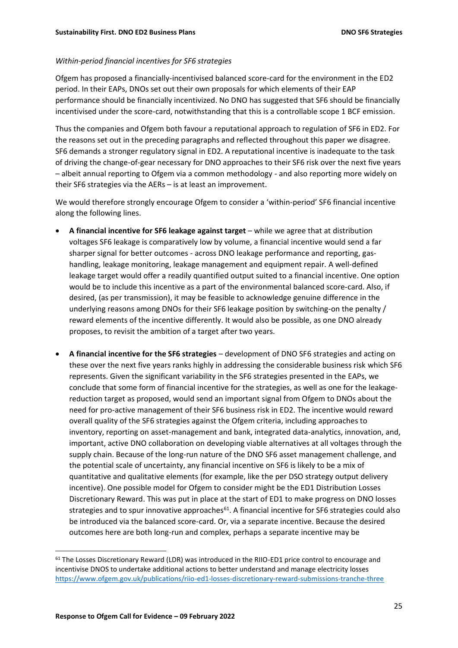#### *Within-period financial incentives for SF6 strategies*

Ofgem has proposed a financially-incentivised balanced score-card for the environment in the ED2 period. In their EAPs, DNOs set out their own proposals for which elements of their EAP performance should be financially incentivized. No DNO has suggested that SF6 should be financially incentivised under the score-card, notwithstanding that this is a controllable scope 1 BCF emission.

Thus the companies and Ofgem both favour a reputational approach to regulation of SF6 in ED2. For the reasons set out in the preceding paragraphs and reflected throughout this paper we disagree. SF6 demands a stronger regulatory signal in ED2. A reputational incentive is inadequate to the task of driving the change-of-gear necessary for DNO approaches to their SF6 risk over the next five years – albeit annual reporting to Ofgem via a common methodology - and also reporting more widely on their SF6 strategies via the AERs – is at least an improvement.

We would therefore strongly encourage Ofgem to consider a 'within-period' SF6 financial incentive along the following lines.

- **A financial incentive for SF6 leakage against target** while we agree that at distribution voltages SF6 leakage is comparatively low by volume, a financial incentive would send a far sharper signal for better outcomes - across DNO leakage performance and reporting, gashandling, leakage monitoring, leakage management and equipment repair. A well-defined leakage target would offer a readily quantified output suited to a financial incentive. One option would be to include this incentive as a part of the environmental balanced score-card. Also, if desired, (as per transmission), it may be feasible to acknowledge genuine difference in the underlying reasons among DNOs for their SF6 leakage position by switching-on the penalty / reward elements of the incentive differently. It would also be possible, as one DNO already proposes, to revisit the ambition of a target after two years.
- **A financial incentive for the SF6 strategies** development of DNO SF6 strategies and acting on these over the next five years ranks highly in addressing the considerable business risk which SF6 represents. Given the significant variability in the SF6 strategies presented in the EAPs, we conclude that some form of financial incentive for the strategies, as well as one for the leakagereduction target as proposed, would send an important signal from Ofgem to DNOs about the need for pro-active management of their SF6 business risk in ED2. The incentive would reward overall quality of the SF6 strategies against the Ofgem criteria, including approaches to inventory, reporting on asset-management and bank, integrated data-analytics, innovation, and, important, active DNO collaboration on developing viable alternatives at all voltages through the supply chain. Because of the long-run nature of the DNO SF6 asset management challenge, and the potential scale of uncertainty, any financial incentive on SF6 is likely to be a mix of quantitative and qualitative elements (for example, like the per DSO strategy output delivery incentive). One possible model for Ofgem to consider might be the ED1 Distribution Losses Discretionary Reward. This was put in place at the start of ED1 to make progress on DNO losses strategies and to spur innovative approaches<sup>61</sup>. A financial incentive for SF6 strategies could also be introduced via the balanced score-card. Or, via a separate incentive. Because the desired outcomes here are both long-run and complex, perhaps a separate incentive may be

<sup>&</sup>lt;sup>61</sup> The Losses Discretionary Reward (LDR) was introduced in the RIIO-ED1 price control to encourage and incentivise DNOS to undertake additional actions to better understand and manage electricity losses <https://www.ofgem.gov.uk/publications/riio-ed1-losses-discretionary-reward-submissions-tranche-three>